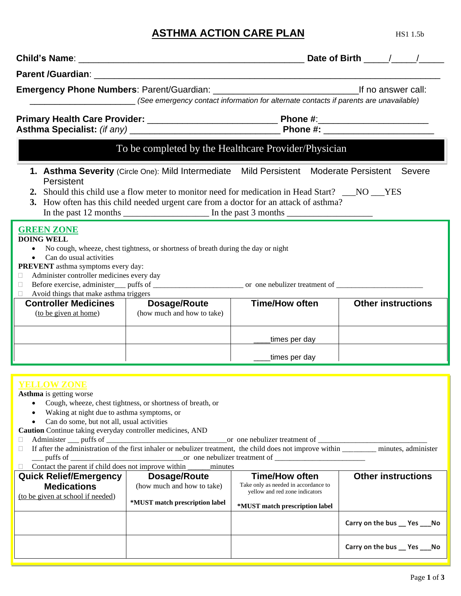# **ASTHMA ACTION CARE PLAN** HS1 1.5b

| Parent /Guardian: New York Street, New York Street, New York Street, New York Street, New York Street, New York                                                                                                                                                                                                     |                                                   |                                                                                                                                                                                                                                                                                      |                                |  |  |
|---------------------------------------------------------------------------------------------------------------------------------------------------------------------------------------------------------------------------------------------------------------------------------------------------------------------|---------------------------------------------------|--------------------------------------------------------------------------------------------------------------------------------------------------------------------------------------------------------------------------------------------------------------------------------------|--------------------------------|--|--|
|                                                                                                                                                                                                                                                                                                                     |                                                   | (See emergency contact information for alternate contacts if parents are unavailable)                                                                                                                                                                                                |                                |  |  |
|                                                                                                                                                                                                                                                                                                                     |                                                   |                                                                                                                                                                                                                                                                                      |                                |  |  |
|                                                                                                                                                                                                                                                                                                                     |                                                   | To be completed by the Healthcare Provider/Physician                                                                                                                                                                                                                                 |                                |  |  |
| Persistent                                                                                                                                                                                                                                                                                                          |                                                   | 1. Asthma Severity (Circle One): Mild Intermediate Mild Persistent Moderate Persistent Severe<br>2. Should this child use a flow meter to monitor need for medication in Head Start? NO YES<br>3. How often has this child needed urgent care from a doctor for an attack of asthma? |                                |  |  |
| <b>GREEN ZONE</b><br><b>DOING WELL</b><br>No cough, wheeze, chest tightness, or shortness of breath during the day or night<br>• Can do usual activities<br><b>PREVENT</b> asthma symptoms every day:<br>Administer controller medicines every day<br>П.<br>$\Box$<br>$\Box$ Avoid things that make asthma triggers |                                                   |                                                                                                                                                                                                                                                                                      |                                |  |  |
| <b>Controller Medicines  </b><br>(to be given at home)                                                                                                                                                                                                                                                              | <b>Dosage/Route</b><br>(how much and how to take) | <b>Time/How often</b>                                                                                                                                                                                                                                                                | <b>Other instructions</b>      |  |  |
|                                                                                                                                                                                                                                                                                                                     |                                                   | times per day                                                                                                                                                                                                                                                                        |                                |  |  |
|                                                                                                                                                                                                                                                                                                                     |                                                   | times per day_                                                                                                                                                                                                                                                                       |                                |  |  |
| <b>YELLOW ZONE</b><br><b>Asthma</b> is getting worse<br>Cough, wheeze, chest tightness, or shortness of breath, or<br>Waking at night due to asthma symptoms, or<br>Can do some, but not all, usual activities<br>Caution Continue taking everyday controller medicines, AND<br>Ш<br>□<br>u                         |                                                   |                                                                                                                                                                                                                                                                                      |                                |  |  |
| <b>Quick Relief/Emergency</b><br><b>Medications</b>                                                                                                                                                                                                                                                                 | Dosage/Route<br>(how much and how to take)        | <b>Time/How often</b><br>Take only as needed in accordance to                                                                                                                                                                                                                        | <b>Other instructions</b>      |  |  |
| (to be given at school if needed)                                                                                                                                                                                                                                                                                   | *MUST match prescription label                    | yellow and red zone indicators<br>*MUST match prescription label                                                                                                                                                                                                                     |                                |  |  |
|                                                                                                                                                                                                                                                                                                                     |                                                   |                                                                                                                                                                                                                                                                                      | Carry on the bus __ Yes ___ No |  |  |
|                                                                                                                                                                                                                                                                                                                     |                                                   |                                                                                                                                                                                                                                                                                      |                                |  |  |

**Carry on the bus \_\_ Yes \_\_\_No**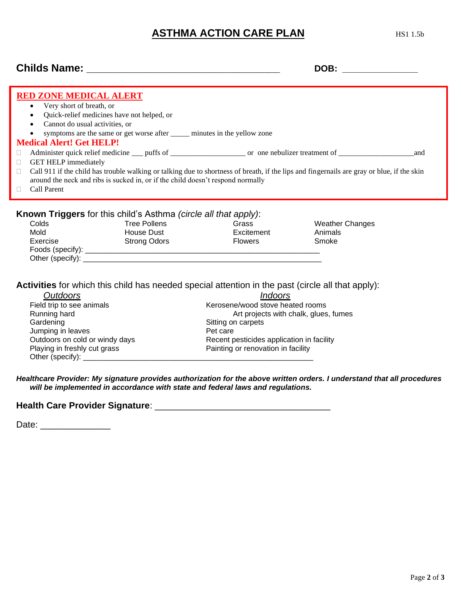## **ASTHMA ACTION CARE PLAN** HS1 1.5b

### **Childs Name: \_\_\_\_\_\_\_\_\_\_\_\_\_\_\_\_\_\_\_\_\_\_\_\_\_\_\_\_\_\_\_\_\_ DOB: \_\_\_\_\_\_\_\_\_\_\_\_\_\_\_**

| <b>RED ZONE MEDICAL ALERT</b><br>• Very short of breath, or<br>Quick-relief medicines have not helped, or<br>$\bullet$<br>Cannot do usual activities, or<br>$\bullet$<br>symptoms are the same or get worse after <u>equal</u> minutes in the yellow zone<br><b>Medical Alert! Get HELP!</b><br>and<br>$\Box$<br><b>GET HELP immediately</b><br>u<br>Call 911 if the child has trouble walking or talking due to shortness of breath, if the lips and fingernails are gray or blue, if the skin<br>$\Box$<br>around the neck and ribs is sucked in, or if the child doesn't respond normally<br><b>Call Parent</b><br>П. |                                                                                                                                            |                                                                                                                                                                         |                                            |  |  |
|--------------------------------------------------------------------------------------------------------------------------------------------------------------------------------------------------------------------------------------------------------------------------------------------------------------------------------------------------------------------------------------------------------------------------------------------------------------------------------------------------------------------------------------------------------------------------------------------------------------------------|--------------------------------------------------------------------------------------------------------------------------------------------|-------------------------------------------------------------------------------------------------------------------------------------------------------------------------|--------------------------------------------|--|--|
| Colds<br>Mold<br>Exercise                                                                                                                                                                                                                                                                                                                                                                                                                                                                                                                                                                                                | <b>Known Triggers</b> for this child's Asthma <i>(circle all that apply)</i> :<br><b>Tree Pollens</b><br>House Dust<br><b>Strong Odors</b> | Grass<br>Excitement<br><b>Flowers</b>                                                                                                                                   | <b>Weather Changes</b><br>Animals<br>Smoke |  |  |
| <b>Outdoors</b><br>Field trip to see animals<br>Running hard<br>Gardening<br>Jumping in leaves<br>Playing in freshly cut grass                                                                                                                                                                                                                                                                                                                                                                                                                                                                                           | Activities for which this child has needed special attention in the past (circle all that apply):<br>Outdoors on cold or windy days        | <b>Indoors</b><br>Kerosene/wood stove heated rooms<br>Sitting on carpets<br>Pet care<br>Recent pesticides application in facility<br>Painting or renovation in facility | Art projects with chalk, glues, fumes      |  |  |

*Healthcare Provider: My signature provides authorization for the above written orders. I understand that all procedures will be implemented in accordance with state and federal laws and regulations.* 

#### **Health Care Provider Signature**: \_\_\_\_\_\_\_\_\_\_\_\_\_\_\_\_\_\_\_\_\_\_\_\_\_\_\_\_\_\_\_\_\_\_\_

Date: \_\_\_\_\_\_\_\_\_\_\_\_\_\_